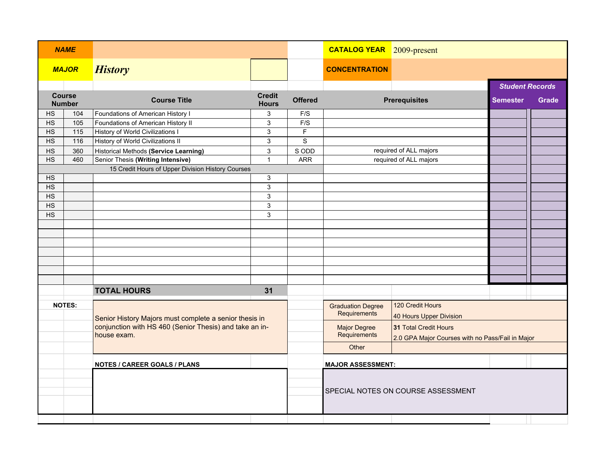| <b>NAME</b>                    |                                     |                                                                        |                               |                | <b>CATALOG YEAR</b> 2009-present         |                                                                           |                        |       |
|--------------------------------|-------------------------------------|------------------------------------------------------------------------|-------------------------------|----------------|------------------------------------------|---------------------------------------------------------------------------|------------------------|-------|
| <b>MAJOR</b>                   |                                     | <b>History</b>                                                         |                               |                | <b>CONCENTRATION</b>                     |                                                                           |                        |       |
|                                |                                     |                                                                        |                               |                |                                          |                                                                           | <b>Student Records</b> |       |
| <b>Course</b><br><b>Number</b> |                                     | <b>Course Title</b>                                                    | <b>Credit</b><br><b>Hours</b> | <b>Offered</b> | <b>Prerequisites</b>                     |                                                                           | <b>Semester</b>        | Grade |
| HS                             | 104                                 | Foundations of American History I                                      | 3                             | F/S            |                                          |                                                                           |                        |       |
| <b>HS</b>                      | 105                                 | Foundations of American History II                                     | 3                             | F/S            |                                          |                                                                           |                        |       |
| <b>HS</b>                      | 115                                 | <b>History of World Civilizations I</b>                                | $\mathsf 3$                   | $\mathsf F$    |                                          |                                                                           |                        |       |
| <b>HS</b>                      | 116                                 | History of World Civilizations II                                      | $\mathsf 3$                   | $\mathsf S$    |                                          |                                                                           |                        |       |
| HS                             | 360                                 | <b>Historical Methods (Service Learning)</b>                           | 3                             | S ODD          |                                          | required of ALL majors                                                    |                        |       |
| <b>HS</b>                      | 460                                 | Senior Thesis (Writing Intensive)                                      | $\mathbf{1}$                  | <b>ARR</b>     |                                          | required of ALL majors                                                    |                        |       |
|                                |                                     | 15 Credit Hours of Upper Division History Courses                      |                               |                |                                          |                                                                           |                        |       |
| HS                             |                                     |                                                                        | $\ensuremath{\mathsf{3}}$     |                |                                          |                                                                           |                        |       |
| $\overline{HS}$                |                                     |                                                                        | $\overline{3}$                |                |                                          |                                                                           |                        |       |
| $\overline{HS}$                |                                     |                                                                        | $\mathsf 3$                   |                |                                          |                                                                           |                        |       |
| <b>HS</b>                      |                                     |                                                                        | $\mathbf{3}$                  |                |                                          |                                                                           |                        |       |
| <b>HS</b>                      |                                     |                                                                        | $\ensuremath{\mathsf{3}}$     |                |                                          |                                                                           |                        |       |
|                                |                                     |                                                                        |                               |                |                                          |                                                                           |                        |       |
|                                |                                     |                                                                        |                               |                |                                          |                                                                           |                        |       |
|                                |                                     |                                                                        |                               |                |                                          |                                                                           |                        |       |
|                                |                                     |                                                                        |                               |                |                                          |                                                                           |                        |       |
|                                |                                     |                                                                        |                               |                |                                          |                                                                           |                        |       |
|                                |                                     |                                                                        |                               |                |                                          |                                                                           |                        |       |
|                                |                                     | <b>TOTAL HOURS</b>                                                     | 31                            |                |                                          |                                                                           |                        |       |
| <b>NOTES:</b>                  |                                     | Senior History Majors must complete a senior thesis in                 |                               |                | <b>Graduation Degree</b><br>Requirements | 120 Credit Hours<br>40 Hours Upper Division                               |                        |       |
|                                |                                     | conjunction with HS 460 (Senior Thesis) and take an in-<br>house exam. |                               |                | <b>Major Degree</b><br>Requirements      | 31 Total Credit Hours<br>2.0 GPA Major Courses with no Pass/Fail in Major |                        |       |
|                                |                                     |                                                                        |                               |                | Other                                    |                                                                           |                        |       |
|                                | <b>NOTES / CAREER GOALS / PLANS</b> |                                                                        |                               |                | <b>MAJOR ASSESSMENT:</b>                 |                                                                           |                        |       |
|                                |                                     |                                                                        |                               |                |                                          |                                                                           |                        |       |
|                                |                                     |                                                                        |                               |                |                                          | SPECIAL NOTES ON COURSE ASSESSMENT                                        |                        |       |
|                                |                                     |                                                                        |                               |                |                                          |                                                                           |                        |       |
|                                |                                     |                                                                        |                               |                |                                          |                                                                           |                        |       |